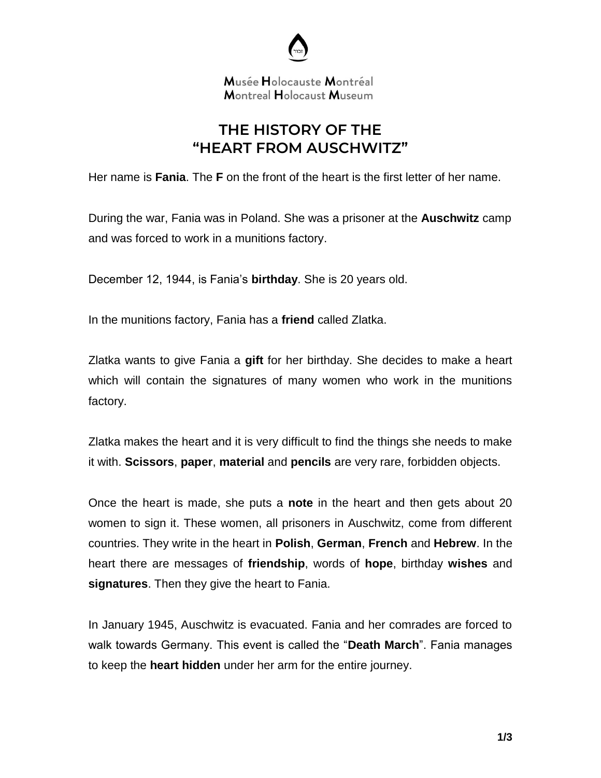

Musée Holocauste Montréal Montreal Holocaust Museum

## **THE HISTORY OF THE "HEART FROM AUSCHWITZ"**

Her name is **Fania**. The **F** on the front of the heart is the first letter of her name.

During the war, Fania was in Poland. She was a prisoner at the **Auschwitz** camp and was forced to work in a munitions factory.

December 12, 1944, is Fania's **birthday**. She is 20 years old.

In the munitions factory, Fania has a **friend** called Zlatka.

Zlatka wants to give Fania a **gift** for her birthday. She decides to make a heart which will contain the signatures of many women who work in the munitions factory.

Zlatka makes the heart and it is very difficult to find the things she needs to make it with. **Scissors**, **paper**, **material** and **pencils** are very rare, forbidden objects.

Once the heart is made, she puts a **note** in the heart and then gets about 20 women to sign it. These women, all prisoners in Auschwitz, come from different countries. They write in the heart in **Polish**, **German**, **French** and **Hebrew**. In the heart there are messages of **friendship**, words of **hope**, birthday **wishes** and **signatures**. Then they give the heart to Fania.

In January 1945, Auschwitz is evacuated. Fania and her comrades are forced to walk towards Germany. This event is called the "**Death March**". Fania manages to keep the **heart hidden** under her arm for the entire journey.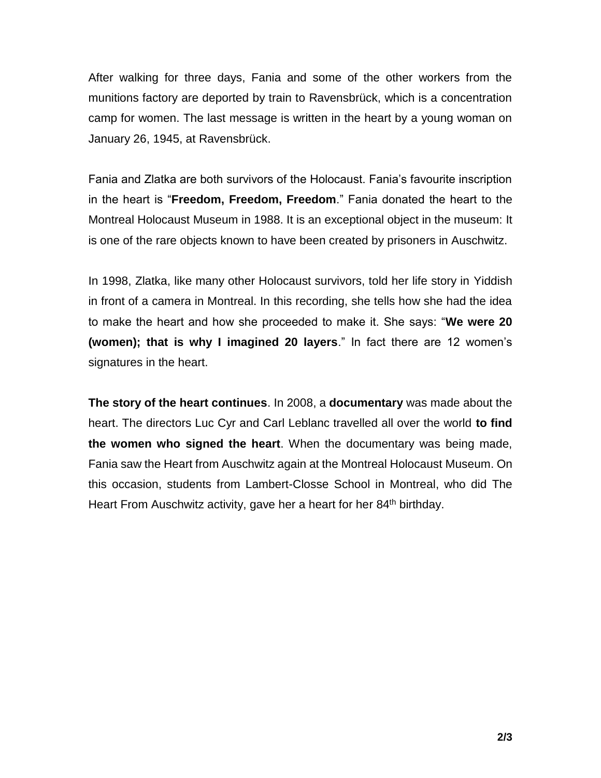After walking for three days, Fania and some of the other workers from the munitions factory are deported by train to Ravensbrück, which is a concentration camp for women. The last message is written in the heart by a young woman on January 26, 1945, at Ravensbrück.

Fania and Zlatka are both survivors of the Holocaust. Fania's favourite inscription in the heart is "**Freedom, Freedom, Freedom**." Fania donated the heart to the Montreal Holocaust Museum in 1988. It is an exceptional object in the museum: It is one of the rare objects known to have been created by prisoners in Auschwitz.

In 1998, Zlatka, like many other Holocaust survivors, told her life story in Yiddish in front of a camera in Montreal. In this recording, she tells how she had the idea to make the heart and how she proceeded to make it. She says: "**We were 20 (women); that is why I imagined 20 layers**." In fact there are 12 women's signatures in the heart.

**The story of the heart continues**. In 2008, a **documentary** was made about the heart. The directors Luc Cyr and Carl Leblanc travelled all over the world **to find the women who signed the heart**. When the documentary was being made, Fania saw the Heart from Auschwitz again at the Montreal Holocaust Museum. On this occasion, students from Lambert-Closse School in Montreal, who did The Heart From Auschwitz activity, gave her a heart for her 84<sup>th</sup> birthday.